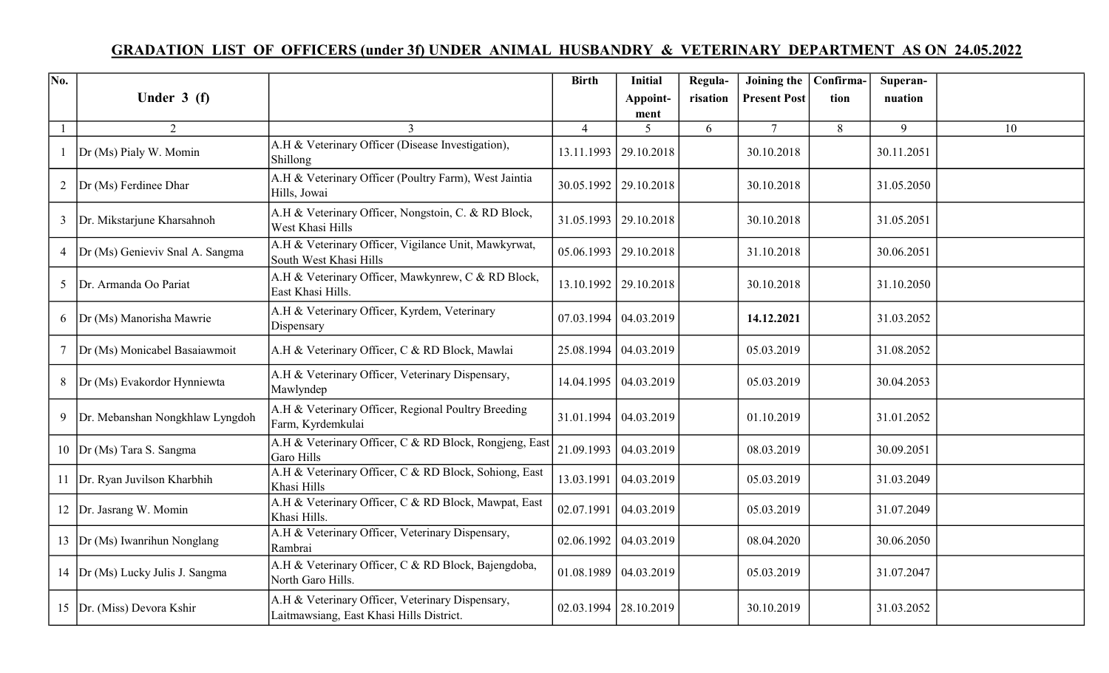## GRADATION LIST OF OFFICERS (under 3f) UNDER ANIMAL HUSBANDRY & VETERINARY DEPARTMENT AS ON 24.05.2022

| No. |                                   |                                                                                              | <b>Birth</b>   | <b>Initial</b>               | Regula-  | Joining the   Confirma- |      | Superan-   |    |
|-----|-----------------------------------|----------------------------------------------------------------------------------------------|----------------|------------------------------|----------|-------------------------|------|------------|----|
|     | Under $3(f)$                      |                                                                                              |                | Appoint-                     | risation | <b>Present Post</b>     | tion | nuation    |    |
|     | 2                                 | 3                                                                                            | $\overline{4}$ | ment<br>5                    | 6        | $\tau$                  | 8    | 9          | 10 |
|     | Dr (Ms) Pialy W. Momin            | A.H & Veterinary Officer (Disease Investigation),<br>Shillong                                | 13.11.1993     | 29.10.2018                   |          | 30.10.2018              |      | 30.11.2051 |    |
| 2   | Dr (Ms) Ferdinee Dhar             | A.H & Veterinary Officer (Poultry Farm), West Jaintia<br>Hills, Jowai                        |                | 30.05.1992   29.10.2018      |          | 30.10.2018              |      | 31.05.2050 |    |
| 3   | Dr. Mikstarjune Kharsahnoh        | A.H & Veterinary Officer, Nongstoin, C. & RD Block,<br>West Khasi Hills                      |                | 31.05.1993   29.10.2018      |          | 30.10.2018              |      | 31.05.2051 |    |
| 4   | Dr (Ms) Genieviv Snal A. Sangma   | A.H & Veterinary Officer, Vigilance Unit, Mawkyrwat,<br>South West Khasi Hills               |                | $05.06.1993$   29.10.2018    |          | 31.10.2018              |      | 30.06.2051 |    |
| 5   | Dr. Armanda Oo Pariat             | A.H & Veterinary Officer, Mawkynrew, C & RD Block,<br>East Khasi Hills.                      |                | 13.10.1992   29.10.2018      |          | 30.10.2018              |      | 31.10.2050 |    |
| 6   | Dr (Ms) Manorisha Mawrie          | A.H & Veterinary Officer, Kyrdem, Veterinary<br>Dispensary                                   |                | $07.03.1994 \mid 04.03.2019$ |          | 14.12.2021              |      | 31.03.2052 |    |
|     | Dr (Ms) Monicabel Basaiawmoit     | A.H & Veterinary Officer, C & RD Block, Mawlai                                               |                | 25.08.1994   04.03.2019      |          | 05.03.2019              |      | 31.08.2052 |    |
| 8   | Dr (Ms) Evakordor Hynniewta       | A.H & Veterinary Officer, Veterinary Dispensary,<br>Mawlyndep                                |                | 14.04.1995   04.03.2019      |          | 05.03.2019              |      | 30.04.2053 |    |
| 9   | Dr. Mebanshan Nongkhlaw Lyngdoh   | A.H & Veterinary Officer, Regional Poultry Breeding<br>Farm, Kyrdemkulai                     |                | 31.01.1994   04.03.2019      |          | 01.10.2019              |      | 31.01.2052 |    |
|     | 10  Dr (Ms) Tara S. Sangma        | A.H & Veterinary Officer, C & RD Block, Rongjeng, East<br>Garo Hills                         | 21.09.1993     | 04.03.2019                   |          | 08.03.2019              |      | 30.09.2051 |    |
|     | 11   Dr. Ryan Juvilson Kharbhih   | A.H & Veterinary Officer, C & RD Block, Sohiong, East<br>Khasi Hills                         | 13.03.1991     | 04.03.2019                   |          | 05.03.2019              |      | 31.03.2049 |    |
|     | 12   Dr. Jasrang W. Momin         | A.H & Veterinary Officer, C & RD Block, Mawpat, East<br>Khasi Hills.                         | 02.07.1991     | 04.03.2019                   |          | 05.03.2019              |      | 31.07.2049 |    |
|     | 13  Dr (Ms) Iwanrihun Nonglang    | A.H & Veterinary Officer, Veterinary Dispensary,<br>Rambrai                                  |                | $02.06.1992 \mid 04.03.2019$ |          | 08.04.2020              |      | 30.06.2050 |    |
|     | 14  Dr (Ms) Lucky Julis J. Sangma | A.H & Veterinary Officer, C & RD Block, Bajengdoba,<br>North Garo Hills.                     |                | $01.08.1989 \mid 04.03.2019$ |          | 05.03.2019              |      | 31.07.2047 |    |
|     | 15  Dr. (Miss) Devora Kshir       | A.H & Veterinary Officer, Veterinary Dispensary,<br>Laitmawsiang, East Khasi Hills District. |                | $02.03.1994$   28.10.2019    |          | 30.10.2019              |      | 31.03.2052 |    |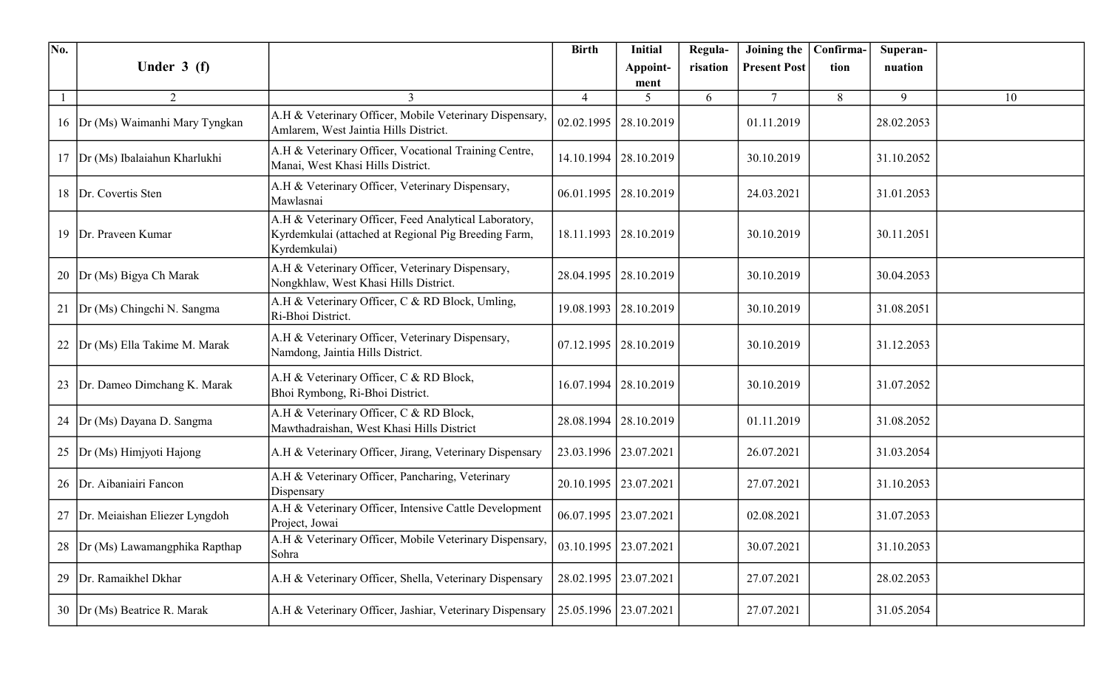| No.       |                                   |                                                                                                                               | <b>Birth</b>            | <b>Initial</b>            | Regula-  | Joining the   Confirma- |      | Superan-   |    |
|-----------|-----------------------------------|-------------------------------------------------------------------------------------------------------------------------------|-------------------------|---------------------------|----------|-------------------------|------|------------|----|
|           | Under $3(f)$                      |                                                                                                                               |                         | Appoint-                  | risation | <b>Present Post</b>     | tion | nuation    |    |
|           | $\overline{2}$                    | $\mathbf{3}$                                                                                                                  | $\overline{4}$          | ment<br>5                 | 6        | $\overline{7}$          | 8    | 9          | 10 |
|           | 16  Dr (Ms) Waimanhi Mary Tyngkan | A.H & Veterinary Officer, Mobile Veterinary Dispensary,<br>Amlarem, West Jaintia Hills District.                              |                         | 02.02.1995   28.10.2019   |          | 01.11.2019              |      | 28.02.2053 |    |
|           | 17  Dr (Ms) Ibalaiahun Kharlukhi  | A.H & Veterinary Officer, Vocational Training Centre,<br>Manai, West Khasi Hills District.                                    |                         | 14.10.1994   28.10.2019   |          | 30.10.2019              |      | 31.10.2052 |    |
|           | 18   Dr. Covertis Sten            | A.H & Veterinary Officer, Veterinary Dispensary,<br>Mawlasnai                                                                 |                         | $06.01.1995$   28.10.2019 |          | 24.03.2021              |      | 31.01.2053 |    |
|           | 19   Dr. Praveen Kumar            | A.H & Veterinary Officer, Feed Analytical Laboratory,<br>Kyrdemkulai (attached at Regional Pig Breeding Farm,<br>Kyrdemkulai) |                         | 18.11.1993   28.10.2019   |          | 30.10.2019              |      | 30.11.2051 |    |
|           | 20  Dr (Ms) Bigya Ch Marak        | A.H & Veterinary Officer, Veterinary Dispensary,<br>Nongkhlaw, West Khasi Hills District.                                     | 28.04.1995              | 28.10.2019                |          | 30.10.2019              |      | 30.04.2053 |    |
|           | 21  Dr (Ms) Chingchi N. Sangma    | A.H & Veterinary Officer, C & RD Block, Umling,<br>Ri-Bhoi District.                                                          |                         | 19.08.1993   28.10.2019   |          | 30.10.2019              |      | 31.08.2051 |    |
|           | 22 Dr (Ms) Ella Takime M. Marak   | A.H & Veterinary Officer, Veterinary Dispensary,<br>Namdong, Jaintia Hills District.                                          |                         | $07.12.1995$   28.10.2019 |          | 30.10.2019              |      | 31.12.2053 |    |
| 23        | Dr. Dameo Dimchang K. Marak       | A.H & Veterinary Officer, C & RD Block,<br>Bhoi Rymbong, Ri-Bhoi District.                                                    |                         | 16.07.1994   28.10.2019   |          | 30.10.2019              |      | 31.07.2052 |    |
|           | 24   Dr (Ms) Dayana D. Sangma     | A.H & Veterinary Officer, C & RD Block,<br>Mawthadraishan, West Khasi Hills District                                          |                         | 28.08.1994   28.10.2019   |          | 01.11.2019              |      | 31.08.2052 |    |
| $25 \mid$ | Dr (Ms) Himjyoti Hajong           | A.H & Veterinary Officer, Jirang, Veterinary Dispensary                                                                       | 23.03.1996   23.07.2021 |                           |          | 26.07.2021              |      | 31.03.2054 |    |
| 26        | Dr. Aibaniairi Fancon             | A.H & Veterinary Officer, Pancharing, Veterinary<br>Dispensary                                                                |                         | 20.10.1995   23.07.2021   |          | 27.07.2021              |      | 31.10.2053 |    |
|           | 27 Dr. Meiaishan Eliezer Lyngdoh  | A.H & Veterinary Officer, Intensive Cattle Development<br>Project, Jowai                                                      |                         | 06.07.1995   23.07.2021   |          | 02.08.2021              |      | 31.07.2053 |    |
| 28        | Dr (Ms) Lawamangphika Rapthap     | A.H & Veterinary Officer, Mobile Veterinary Dispensary,<br>Sohra                                                              |                         | 03.10.1995   23.07.2021   |          | 30.07.2021              |      | 31.10.2053 |    |
| 29        | Dr. Ramaikhel Dkhar               | A.H & Veterinary Officer, Shella, Veterinary Dispensary                                                                       |                         | 28.02.1995   23.07.2021   |          | 27.07.2021              |      | 28.02.2053 |    |
|           | 30 Dr (Ms) Beatrice R. Marak      | A.H & Veterinary Officer, Jashiar, Veterinary Dispensary                                                                      |                         | 25.05.1996   23.07.2021   |          | 27.07.2021              |      | 31.05.2054 |    |